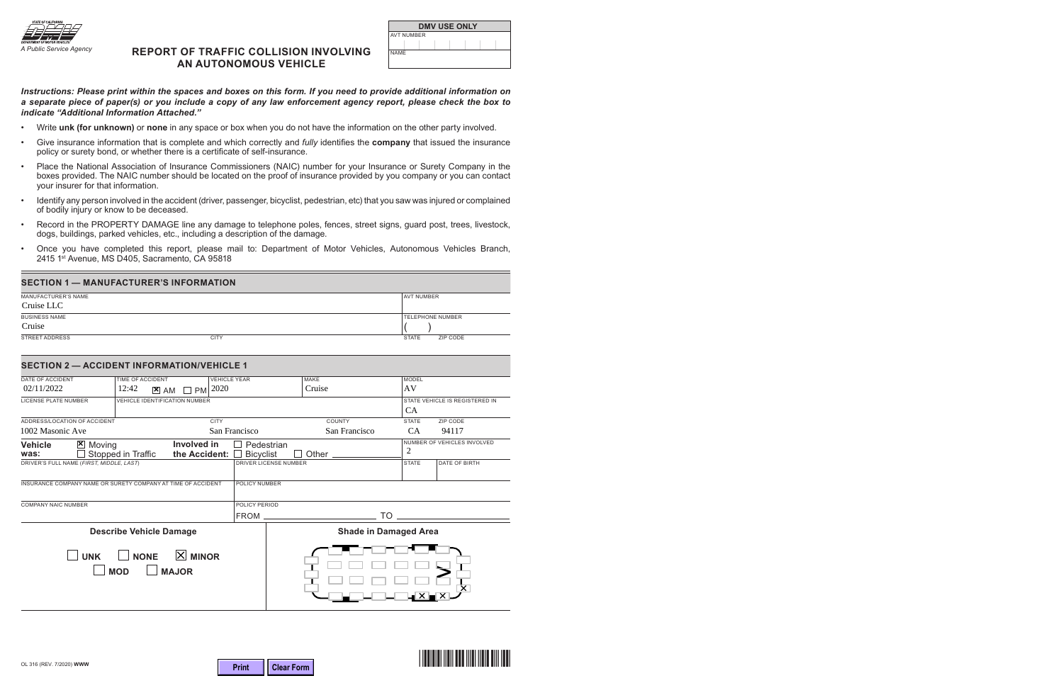

### A Public Service Agency **REPORT OF TRAFFIC COLLISION INVOLVING AN AUTONOMOUS VEHICLE**

| <b>DMV USE ONLY</b> |  |  |  |  |  |  |
|---------------------|--|--|--|--|--|--|
| AVT NUMBER          |  |  |  |  |  |  |
|                     |  |  |  |  |  |  |
| NAME                |  |  |  |  |  |  |

#### *Instructions: Please print within the spaces and boxes on this form. If you need to provide additional information on a separate piece of paper(s) or you include a copy of any law enforcement agency report, please check the box to indicate "Additional Information Attached."*

- Write **unk (for unknown)** or **none** in any space or box when you do not have the information on the other party involved.
- Give insurance information that is complete and which correctly and *fully* identifies the **company** that issued the insurance policy or surety bond, or whether there is a certificate of self-insurance.
- Place the National Association of Insurance Commissioners (NAIC) number for your Insurance or Surety Company in the boxes provided. The NAIC number should be located on the proof of insurance provided by you company or you can contact your insurer for that information.
- Identify any person involved in the accident (driver, passenger, bicyclist, pedestrian, etc) that you saw was injured or complained of bodily injury or know to be deceased.
- Record in the PROPERTY DAMAGE line any damage to telephone poles, fences, street signs, guard post, trees, livestock, dogs, buildings, parked vehicles, etc., including a description of the damage.
- Once you have completed this report, please mail to: Department of Motor Vehicles, Autonomous Vehicles Branch, 2415 1<sup>st</sup> Avenue, MS D405, Sacramento, CA 95818

#### **SECTION 1 — MANUFACTURER'S INFORMATION**

| MANUFACTURER'S NAME  |             | <b>AVT NUMBER</b>        |
|----------------------|-------------|--------------------------|
| Cruise LLC           |             |                          |
| <b>BUSINESS NAME</b> |             | <b>TELEPHONE NUMBER</b>  |
| Cruise               |             |                          |
| STREET ADDRESS       | <b>CITY</b> | ZIP CODE<br><b>STATE</b> |

#### **SECTION 2 — ACCIDENT INFORMATION/VEHICLE 1**

| DATE OF ACCIDENT                                                       | TIME OF ACCIDENT                     | <b>VEHICLE YEAR</b> |                  |                              | MAKE          | <b>MODEL</b>   |                                |  |  |
|------------------------------------------------------------------------|--------------------------------------|---------------------|------------------|------------------------------|---------------|----------------|--------------------------------|--|--|
| 02/11/2022                                                             | 12:42<br>$\mathbf{X}$ AM             | 2020<br><b>PM</b>   |                  |                              | Cruise        | AV             |                                |  |  |
| <b>LICENSE PLATE NUMBER</b>                                            | <b>VEHICLE IDENTIFICATION NUMBER</b> |                     |                  |                              |               |                | STATE VEHICLE IS REGISTERED IN |  |  |
|                                                                        |                                      |                     |                  |                              |               | <b>CA</b>      |                                |  |  |
| ADDRESS/LOCATION OF ACCIDENT                                           |                                      | <b>CITY</b>         |                  |                              | COUNTY        | <b>STATE</b>   | <b>ZIP CODE</b>                |  |  |
| 1002 Masonic Ave                                                       |                                      |                     | San Francisco    |                              | San Francisco | <b>CA</b>      | 94117                          |  |  |
| <b>Vehicle</b><br>$\mathbf{x}$<br>Moving                               |                                      | Involved in         | Pedestrian       |                              |               |                | NUMBER OF VEHICLES INVOLVED    |  |  |
| was:                                                                   | Stopped in Traffic                   | the Accident:       | <b>Bicyclist</b> |                              | Other         | $\overline{2}$ |                                |  |  |
| DRIVER'S FULL NAME (FIRST, MIDDLE, LAST)                               |                                      |                     |                  | <b>DRIVER LICENSE NUMBER</b> |               | <b>STATE</b>   | <b>DATE OF BIRTH</b>           |  |  |
|                                                                        |                                      |                     |                  |                              |               |                |                                |  |  |
| INSURANCE COMPANY NAME OR SURETY COMPANY AT TIME OF ACCIDENT           |                                      |                     |                  | POLICY NUMBER                |               |                |                                |  |  |
|                                                                        |                                      |                     |                  |                              |               |                |                                |  |  |
| <b>COMPANY NAIC NUMBER</b>                                             |                                      |                     | POLICY PERIOD    |                              |               |                |                                |  |  |
|                                                                        |                                      |                     | <b>FROM</b>      |                              | TO            |                |                                |  |  |
| <b>Describe Vehicle Damage</b>                                         |                                      |                     |                  | <b>Shade in Damaged Area</b> |               |                |                                |  |  |
| $ X $ MINOR<br><b>NONE</b><br><b>UNK</b><br><b>MAJOR</b><br><b>MOD</b> |                                      |                     |                  |                              |               |                |                                |  |  |

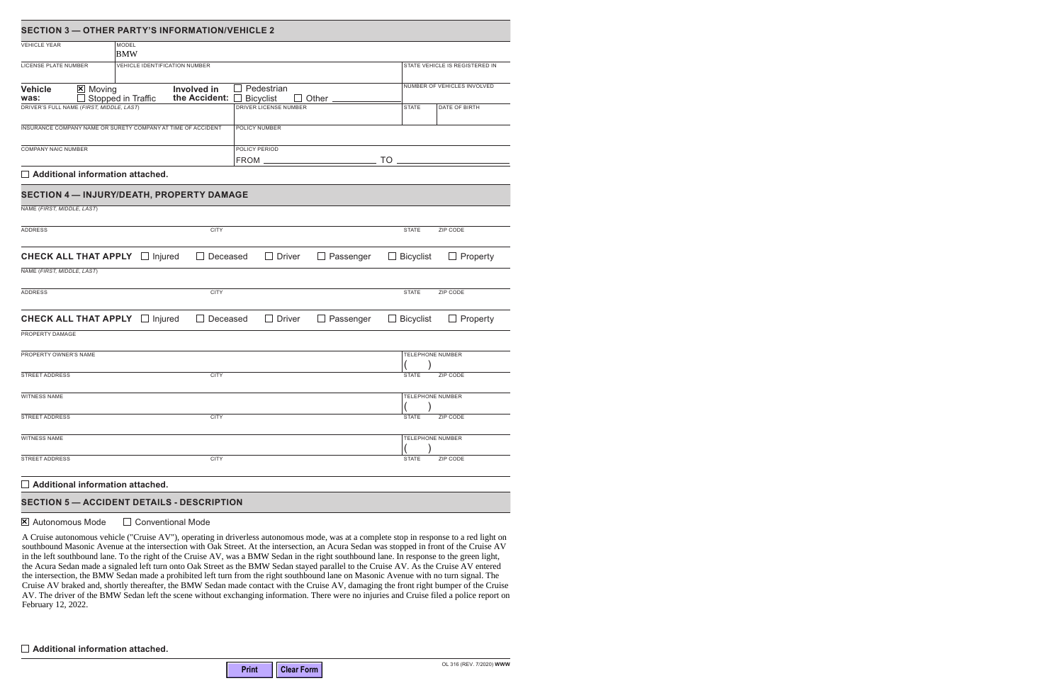| <b>SECTION 3 - OTHER PARTY'S INFORMATION/VEHICLE 2</b>                                            |                                         |                               |  |  |  |  |
|---------------------------------------------------------------------------------------------------|-----------------------------------------|-------------------------------|--|--|--|--|
| <b>VEHICLE YEAR</b><br><b>MODEL</b><br><b>BMW</b>                                                 |                                         |                               |  |  |  |  |
| LICENSE PLATE NUMBER<br>VEHICLE IDENTIFICATION NUMBER                                             |                                         |                               |  |  |  |  |
| <b>Vehicle</b><br>$X$ Moving<br><b>Involved</b> in<br>the Accident:<br>was:<br>Stopped in Traffic | Pedestrian<br><b>Bicyclist</b><br>Other | NUMBER OF VEHICLES INVOLVED   |  |  |  |  |
| DRIVER'S FULL NAME (FIRST, MIDDLE, LAST)                                                          | DRIVER LICENSE NUMBER                   | <b>STATE</b><br>DATE OF BIRTH |  |  |  |  |
| INSURANCE COMPANY NAME OR SURETY COMPANY AT TIME OF ACCIDENT                                      | POLICY NUMBER                           |                               |  |  |  |  |
| <b>COMPANY NAIC NUMBER</b>                                                                        | POLICY PERIOD<br>FROM _                 | <b>TO</b>                     |  |  |  |  |
| $\Box$ Additional information attached.                                                           |                                         |                               |  |  |  |  |
| SECTION 4 - INJURY/DEATH, PROPERTY DAMAGE                                                         |                                         |                               |  |  |  |  |
| NAME (FIRST, MIDDLE, LAST)                                                                        |                                         |                               |  |  |  |  |
| <b>ADDRESS</b><br><b>CITY</b>                                                                     |                                         | <b>STATE</b><br>ZIP CODE      |  |  |  |  |
| <b>CHECK ALL THAT APPLY</b><br>Injured<br>Deceased<br>$\Box$                                      | <b>Driver</b><br>Passenger              | <b>Bicyclist</b><br>Property  |  |  |  |  |
| NAME (FIRST, MIDDLE, LAST)                                                                        |                                         |                               |  |  |  |  |
| <b>ADDRESS</b><br><b>CITY</b>                                                                     |                                         | <b>STATE</b><br>ZIP CODE      |  |  |  |  |
| <b>CHECK ALL THAT APPLY</b><br>Injured<br>Deceased<br>$\Box$                                      | <b>Driver</b><br>Passenger              | <b>Bicyclist</b><br>Property  |  |  |  |  |
| PROPERTY DAMAGE                                                                                   |                                         |                               |  |  |  |  |
| PROPERTY OWNER'S NAME                                                                             |                                         | <b>TELEPHONE NUMBER</b>       |  |  |  |  |
| <b>STREET ADDRESS</b><br><b>CITY</b>                                                              |                                         | <b>STATE</b><br>ZIP CODE      |  |  |  |  |
| <b>WITNESS NAME</b>                                                                               |                                         | <b>TELEPHONE NUMBER</b>       |  |  |  |  |
| STREET ADDRESS<br><b>CITY</b>                                                                     |                                         | <b>STATE</b><br>ZIP CODE      |  |  |  |  |
| <b>WITNESS NAME</b>                                                                               |                                         | TELEPHONE NUMBER              |  |  |  |  |
| <b>STREET ADDRESS</b><br><b>CITY</b>                                                              |                                         | ZIP CODE<br><b>STATE</b>      |  |  |  |  |
| $\Box$ Additional information attached.                                                           |                                         |                               |  |  |  |  |

# **SECTION 5 — ACCIDENT DETAILS - DESCRIPTION**

 $\boxtimes$  Autonomous Mode  $\Box$  Conventional Mode

A Cruise autonomous vehicle ("Cruise AV"), operating in driverless autonomous mode, was at a complete stop in response to a red light on southbound Masonic Avenue at the intersection with Oak Street. At the intersection, an Acura Sedan was stopped in front of the Cruise AV in the left southbound lane. To the right of the Cruise AV, was a BMW Sedan in the right southbound lane. In response to the green light, the Acura Sedan made a signaled left turn onto Oak Street as the BMW Sedan stayed parallel to the Cruise AV. As the Cruise AV entered the intersection, the BMW Sedan made a prohibited left turn from the right southbound lane on Masonic Avenue with no turn signal. The Cruise AV braked and, shortly thereafter, the BMW Sedan made contact with the Cruise AV, damaging the front right bumper of the Cruise AV. The driver of the BMW Sedan left the scene without exchanging information. There were no injuries and Cruise filed a police report on February 12, 2022.